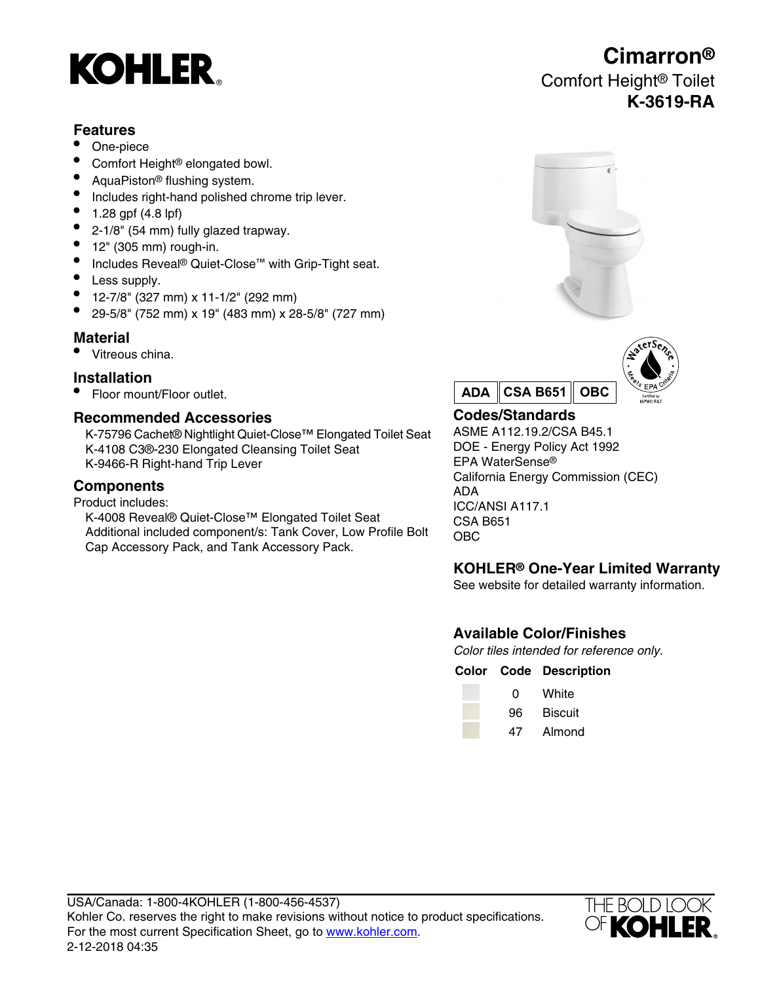

### **Features**

- One-piece
- Comfort Height® elongated bowl.
- AquaPiston® flushing system.
- Includes right-hand polished chrome trip lever.
- 1.28 gpf (4.8 lpf)
- 2-1/8" (54 mm) fully glazed trapway.
- $\bullet$  12" (305 mm) rough-in.
- Includes Reveal® Quiet-Close™ with Grip-Tight seat.
- Less supply.
- 12-7/8" (327 mm) x 11-1/2" (292 mm)
- 29-5/8" (752 mm) x 19" (483 mm) x 28-5/8" (727 mm)

### **Material**

• Vitreous china.

### **Installation**

• Floor mount/Floor outlet.

### **Recommended Accessories**

K-75796 Cachet® Nightlight Quiet-Close™ Elongated Toilet Seat K-4108 C3®-230 Elongated Cleansing Toilet Seat DOE - Energy Policy Act 1992<br>K-9466-R Right-hand Trip Lever EPA WaterSense® K-9466-R Right-hand Trip Lever

Product includes:

K-4008 Reveal® Quiet-Close™ Elongated Toilet Seat Additional included component/s: Tank Cover, Low Profile Bolt Cap Accessory Pack, and Tank Accessory Pack.





### **Codes/Standards**

ASME A112.19.2/CSA B45.1 California Energy Commission (CEC) **Components** ADA ICC/ANSI A117.1 CSA B651 OBC

### **KOHLER® One-Year Limited Warranty**

See website for detailed warranty information.

## **Available Color/Finishes**

Color tiles intended for reference only.

#### **Color Code Description**

| O  | White   |
|----|---------|
| 96 | Biscuit |
| 47 | Almond  |



# **Cimarron®** Comfort Height® Toilet **K-3619-RA**